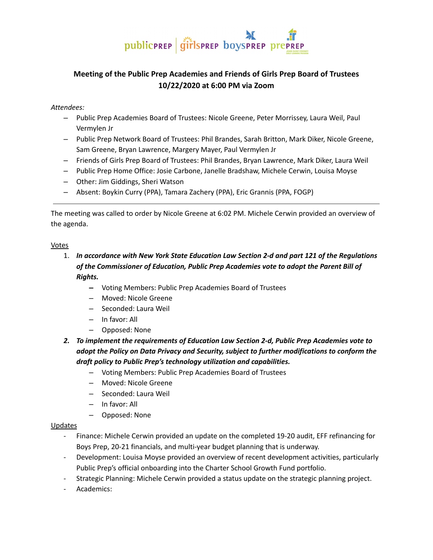

## **Meeting of the Public Prep Academies and Friends of Girls Prep Board of Trustees 10/22/2020 at 6:00 PM via Zoom**

#### *Attendees:*

- ‒ Public Prep Academies Board of Trustees: Nicole Greene, Peter Morrissey, Laura Weil, Paul Vermylen Jr
- ‒ Public Prep Network Board of Trustees: Phil Brandes, Sarah Britton, Mark Diker, Nicole Greene, Sam Greene, Bryan Lawrence, Margery Mayer, Paul Vermylen Jr
- ‒ Friends of Girls Prep Board of Trustees: Phil Brandes, Bryan Lawrence, Mark Diker, Laura Weil
- ‒ Public Prep Home Office: Josie Carbone, Janelle Bradshaw, Michele Cerwin, Louisa Moyse
- ‒ Other: Jim Giddings, Sheri Watson
- ‒ Absent: Boykin Curry (PPA), Tamara Zachery (PPA), Eric Grannis (PPA, FOGP)

The meeting was called to order by Nicole Greene at 6:02 PM. Michele Cerwin provided an overview of the agenda.

#### Votes

- 1. *In accordance with New York State Education Law Section 2-d and part 121 of the Regulations of the Commissioner of Education, Public Prep Academies vote to adopt the Parent Bill of Rights.*
	- *‒* Voting Members: Public Prep Academies Board of Trustees
	- *‒* Moved: Nicole Greene
	- ‒ Seconded: Laura Weil
	- ‒ In favor: All
	- ‒ Opposed: None
- *2. To implement the requirements of Education Law Section 2-d, Public Prep Academies vote to adopt the Policy on Data Privacy and Security, subject to further modifications to conform the draft policy to Public Prep's technology utilization and capabilities.*
	- ‒ Voting Members: Public Prep Academies Board of Trustees
	- *‒* Moved: Nicole Greene
	- ‒ Seconded: Laura Weil
	- ‒ In favor: All
	- ‒ Opposed: None

#### Updates

- Finance: Michele Cerwin provided an update on the completed 19-20 audit, EFF refinancing for Boys Prep, 20-21 financials, and multi-year budget planning that is underway.
- Development: Louisa Moyse provided an overview of recent development activities, particularly Public Prep's official onboarding into the Charter School Growth Fund portfolio.
- Strategic Planning: Michele Cerwin provided a status update on the strategic planning project.
- Academics: